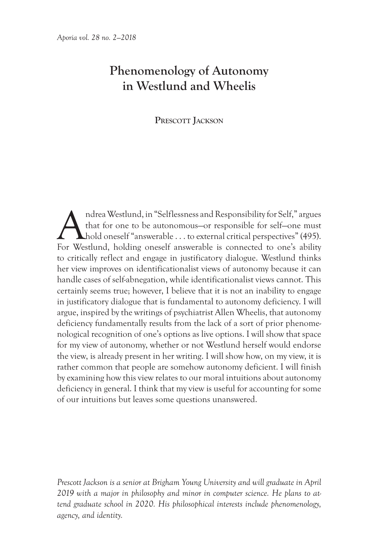# **Phenomenology of Autonomy in Westlund and Wheelis**

**Prescott Jackson**

Andrea Westlund, in "Selflessness and Responsibility for Self," argues<br>that for one to be autonomous-or responsible for self-one must<br>hold oneself "answerable . . . to external critical perspectives" (495).<br>For Westlund, h that for one to be autonomous—or responsible for self—one must hold oneself "answerable . . . to external critical perspectives" (495). For Westlund, holding oneself answerable is connected to one's ability to critically reflect and engage in justificatory dialogue. Westlund thinks her view improves on identificationalist views of autonomy because it can handle cases of self-abnegation, while identificationalist views cannot. This certainly seems true; however, I believe that it is not an inability to engage in justificatory dialogue that is fundamental to autonomy deficiency. I will argue, inspired by the writings of psychiatrist Allen Wheelis, that autonomy deficiency fundamentally results from the lack of a sort of prior phenomenological recognition of one's options as live options. I will show that space for my view of autonomy, whether or not Westlund herself would endorse the view, is already present in her writing. I will show how, on my view, it is rather common that people are somehow autonomy deficient. I will finish by examining how this view relates to our moral intuitions about autonomy deficiency in general. I think that my view is useful for accounting for some of our intuitions but leaves some questions unanswered.

*Prescott Jackson is a senior at Brigham Young University and will graduate in April 2019 with a major in philosophy and minor in computer science. He plans to attend graduate school in 2020. His philosophical interests include phenomenology, agency, and identity.*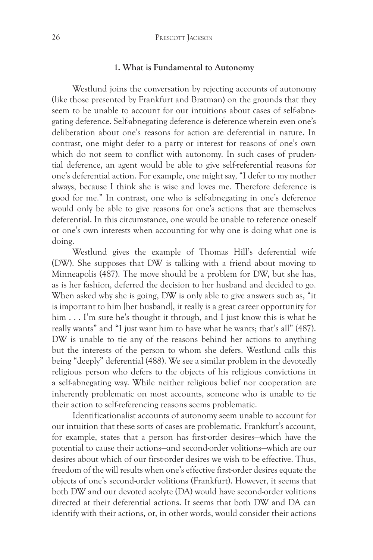#### **1. What is Fundamental to Autonomy**

Westlund joins the conversation by rejecting accounts of autonomy (like those presented by Frankfurt and Bratman) on the grounds that they seem to be unable to account for our intuitions about cases of self-abnegating deference. Self-abnegating deference is deference wherein even one's deliberation about one's reasons for action are deferential in nature. In contrast, one might defer to a party or interest for reasons of one's own which do not seem to conflict with autonomy. In such cases of prudential deference, an agent would be able to give self-referential reasons for one's deferential action. For example, one might say, "I defer to my mother always, because I think she is wise and loves me. Therefore deference is good for me." In contrast, one who is self-abnegating in one's deference would only be able to give reasons for one's actions that are themselves deferential. In this circumstance, one would be unable to reference oneself or one's own interests when accounting for why one is doing what one is doing.

Westlund gives the example of Thomas Hill's deferential wife (DW). She supposes that DW is talking with a friend about moving to Minneapolis (487). The move should be a problem for DW, but she has, as is her fashion, deferred the decision to her husband and decided to go. When asked why she is going, DW is only able to give answers such as, "it is important to him [her husband], it really is a great career opportunity for him . . . I'm sure he's thought it through, and I just know this is what he really wants" and "I just want him to have what he wants; that's all" (487). DW is unable to tie any of the reasons behind her actions to anything but the interests of the person to whom she defers. Westlund calls this being "deeply" deferential (488). We see a similar problem in the devotedly religious person who defers to the objects of his religious convictions in a self-abnegating way. While neither religious belief nor cooperation are inherently problematic on most accounts, someone who is unable to tie their action to self-referencing reasons seems problematic.

Identificationalist accounts of autonomy seem unable to account for our intuition that these sorts of cases are problematic. Frankfurt's account, for example, states that a person has first-order desires—which have the potential to cause their actions—and second-order volitions—which are our desires about which of our first-order desires we wish to be effective. Thus, freedom of the will results when one's effective first-order desires equate the objects of one's second-order volitions (Frankfurt). However, it seems that both DW and our devoted acolyte (DA) would have second-order volitions directed at their deferential actions. It seems that both DW and DA can identify with their actions, or, in other words, would consider their actions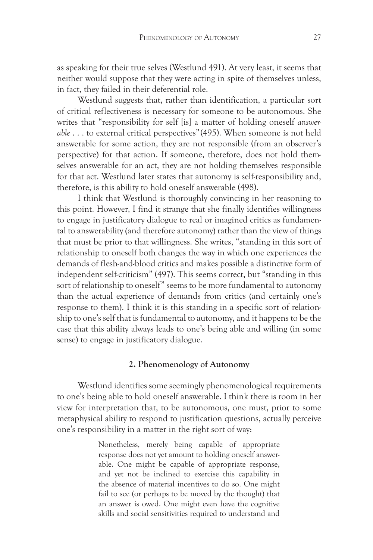as speaking for their true selves (Westlund 491). At very least, it seems that neither would suppose that they were acting in spite of themselves unless, in fact, they failed in their deferential role.

Westlund suggests that, rather than identification, a particular sort of critical reflectiveness is necessary for someone to be autonomous. She writes that "responsibility for self [is] a matter of holding oneself *answerable* . . . to external critical perspectives" (495). When someone is not held answerable for some action, they are not responsible (from an observer's perspective) for that action. If someone, therefore, does not hold themselves answerable for an act, they are not holding themselves responsible for that act. Westlund later states that autonomy is self-responsibility and, therefore, is this ability to hold oneself answerable (498).

I think that Westlund is thoroughly convincing in her reasoning to this point. However, I find it strange that she finally identifies willingness to engage in justificatory dialogue to real or imagined critics as fundamental to answerability (and therefore autonomy) rather than the view of things that must be prior to that willingness. She writes, "standing in this sort of relationship to oneself both changes the way in which one experiences the demands of flesh-and-blood critics and makes possible a distinctive form of independent self-criticism" (497). This seems correct, but "standing in this sort of relationship to oneself" seems to be more fundamental to autonomy than the actual experience of demands from critics (and certainly one's response to them). I think it is this standing in a specific sort of relationship to one's self that is fundamental to autonomy, and it happens to be the case that this ability always leads to one's being able and willing (in some sense) to engage in justificatory dialogue.

## **2. Phenomenology of Autonomy**

Westlund identifies some seemingly phenomenological requirements to one's being able to hold oneself answerable. I think there is room in her view for interpretation that, to be autonomous, one must, prior to some metaphysical ability to respond to justification questions, actually perceive one's responsibility in a matter in the right sort of way:

> Nonetheless, merely being capable of appropriate response does not yet amount to holding oneself answerable. One might be capable of appropriate response, and yet not be inclined to exercise this capability in the absence of material incentives to do so. One might fail to see (or perhaps to be moved by the thought) that an answer is owed. One might even have the cognitive skills and social sensitivities required to understand and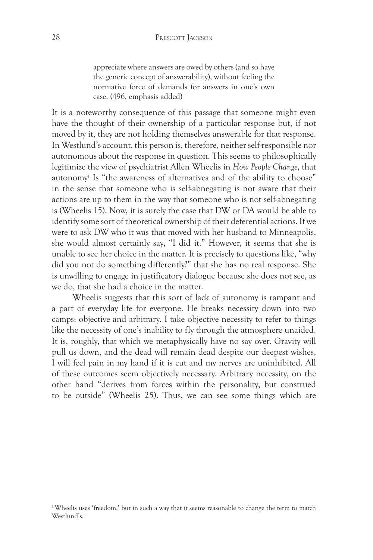appreciate where answers are owed by others (and so have the generic concept of answerability), without feeling the normative force of demands for answers in one's own case. (496, emphasis added)

It is a noteworthy consequence of this passage that someone might even have the thought of their ownership of a particular response but, if not moved by it, they are not holding themselves answerable for that response. In Westlund's account, this person is, therefore, neither self-responsible nor autonomous about the response in question. This seems to philosophically legitimize the view of psychiatrist Allen Wheelis in *How People Change*, that autonomy1 Is "the awareness of alternatives and of the ability to choose" in the sense that someone who is self-abnegating is not aware that their actions are up to them in the way that someone who is not self-abnegating is (Wheelis 15). Now, it is surely the case that DW or DA would be able to identify some sort of theoretical ownership of their deferential actions. If we were to ask DW who it was that moved with her husband to Minneapolis, she would almost certainly say, "I did it." However, it seems that she is unable to see her choice in the matter. It is precisely to questions like, "why did you not do something differently?" that she has no real response. She is unwilling to engage in justificatory dialogue because she does not see, as we do, that she had a choice in the matter.

Wheelis suggests that this sort of lack of autonomy is rampant and a part of everyday life for everyone. He breaks necessity down into two camps: objective and arbitrary. I take objective necessity to refer to things like the necessity of one's inability to fly through the atmosphere unaided. It is, roughly, that which we metaphysically have no say over. Gravity will pull us down, and the dead will remain dead despite our deepest wishes, I will feel pain in my hand if it is cut and my nerves are uninhibited. All of these outcomes seem objectively necessary. Arbitrary necessity, on the other hand "derives from forces within the personality, but construed to be outside" (Wheelis 25). Thus, we can see some things which are

<sup>&</sup>lt;sup>1</sup>Wheelis uses 'freedom,' but in such a way that it seems reasonable to change the term to match Westlund's.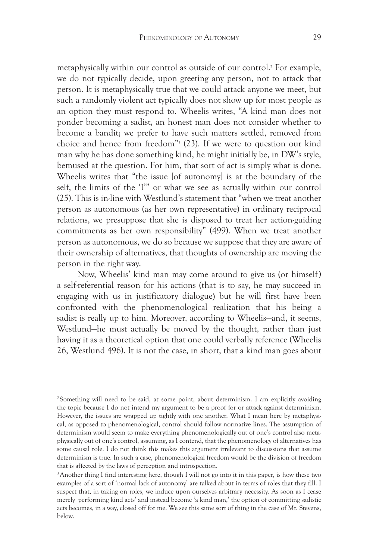metaphysically within our control as outside of our control.2 For example, we do not typically decide, upon greeting any person, not to attack that person. It is metaphysically true that we could attack anyone we meet, but such a randomly violent act typically does not show up for most people as an option they must respond to. Wheelis writes, "A kind man does not ponder becoming a sadist, an honest man does not consider whether to become a bandit; we prefer to have such matters settled, removed from choice and hence from freedom"3 (23). If we were to question our kind man why he has done something kind, he might initially be, in DW's style, bemused at the question. For him, that sort of act is simply what is done. Wheelis writes that "the issue [of autonomy] is at the boundary of the self, the limits of the 'I'" or what we see as actually within our control (25). This is in-line with Westlund's statement that "when we treat another person as autonomous (as her own representative) in ordinary reciprocal relations, we presuppose that she is disposed to treat her action-guiding commitments as her own responsibility" (499). When we treat another person as autonomous, we do so because we suppose that they are aware of their ownership of alternatives, that thoughts of ownership are moving the person in the right way.

Now, Wheelis' kind man may come around to give us (or himself) a self-referential reason for his actions (that is to say, he may succeed in engaging with us in justificatory dialogue) but he will first have been confronted with the phenomenological realization that his being a sadist is really up to him. Moreover, according to Wheelis—and, it seems, Westlund—he must actually be moved by the thought, rather than just having it as a theoretical option that one could verbally reference (Wheelis 26, Westlund 496). It is not the case, in short, that a kind man goes about

2Something will need to be said, at some point, about determinism. I am explicitly avoiding the topic because I do not intend my argument to be a proof for or attack against determinism. However, the issues are wrapped up tightly with one another. What I mean here by metaphysical, as opposed to phenomenological, control should follow normative lines. The assumption of determinism would seem to make everything phenomenologically out of one's control also metaphysically out of one's control, assuming, as I contend, that the phenomenology of alternatives has some causal role. I do not think this makes this argument irrelevant to discussions that assume determinism is true. In such a case, phenomenological freedom would be the division of freedom that is affected by the laws of perception and introspection.

3Another thing I find interesting here, though I will not go into it in this paper, is how these two examples of a sort of 'normal lack of autonomy' are talked about in terms of roles that they fill. I suspect that, in taking on roles, we induce upon ourselves arbitrary necessity. As soon as I cease merely performing kind acts' and instead become 'a kind man,' the option of committing sadistic acts becomes, in a way, closed off for me. We see this same sort of thing in the case of Mr. Stevens, below.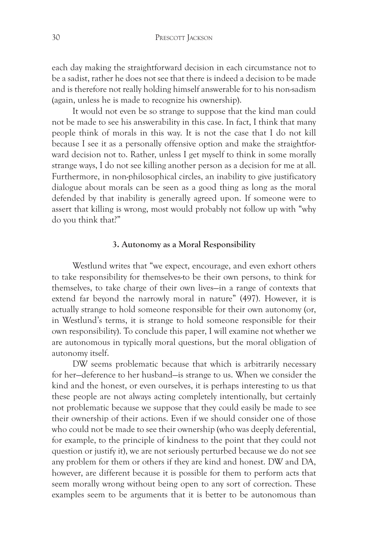each day making the straightforward decision in each circumstance not to be a sadist, rather he does not see that there is indeed a decision to be made and is therefore not really holding himself answerable for to his non-sadism (again, unless he is made to recognize his ownership).

It would not even be so strange to suppose that the kind man could not be made to see his answerability in this case. In fact, I think that many people think of morals in this way. It is not the case that I do not kill because I see it as a personally offensive option and make the straightforward decision not to. Rather, unless I get myself to think in some morally strange ways, I do not see killing another person as a decision for me at all. Furthermore, in non-philosophical circles, an inability to give justificatory dialogue about morals can be seen as a good thing as long as the moral defended by that inability is generally agreed upon. If someone were to assert that killing is wrong, most would probably not follow up with "why do you think that?"

# **3. Autonomy as a Moral Responsibility**

Westlund writes that "we expect, encourage, and even exhort others to take responsibility for themselves-to be their own persons, to think for themselves, to take charge of their own lives—in a range of contexts that extend far beyond the narrowly moral in nature" (497). However, it is actually strange to hold someone responsible for their own autonomy (or, in Westlund's terms, it is strange to hold someone responsible for their own responsibility). To conclude this paper, I will examine not whether we are autonomous in typically moral questions, but the moral obligation of autonomy itself.

DW seems problematic because that which is arbitrarily necessary for her—deference to her husband—is strange to us. When we consider the kind and the honest, or even ourselves, it is perhaps interesting to us that these people are not always acting completely intentionally, but certainly not problematic because we suppose that they could easily be made to see their ownership of their actions. Even if we should consider one of those who could not be made to see their ownership (who was deeply deferential, for example, to the principle of kindness to the point that they could not question or justify it), we are not seriously perturbed because we do not see any problem for them or others if they are kind and honest. DW and DA, however, are different because it is possible for them to perform acts that seem morally wrong without being open to any sort of correction. These examples seem to be arguments that it is better to be autonomous than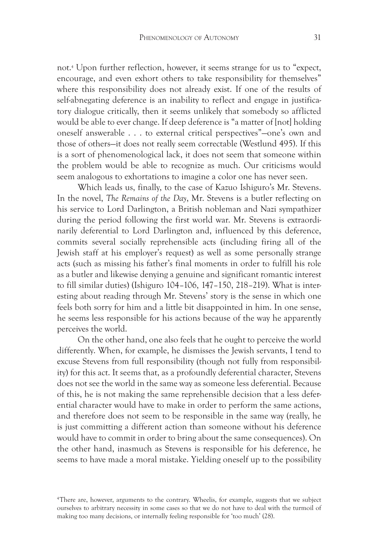not.4 Upon further reflection, however, it seems strange for us to "expect, encourage, and even exhort others to take responsibility for themselves" where this responsibility does not already exist. If one of the results of self-abnegating deference is an inability to reflect and engage in justificatory dialogue critically, then it seems unlikely that somebody so afflicted would be able to ever change. If deep deference is "a matter of [not] holding oneself answerable . . . to external critical perspectives"—one's own and those of others—it does not really seem correctable (Westlund 495). If this is a sort of phenomenological lack, it does not seem that someone within the problem would be able to recognize as much. Our criticisms would seem analogous to exhortations to imagine a color one has never seen.

Which leads us, finally, to the case of Kazuo Ishiguro's Mr. Stevens. In the novel, *The Remains of the Day*, Mr. Stevens is a butler reflecting on his service to Lord Darlington, a British nobleman and Nazi sympathizer during the period following the first world war. Mr. Stevens is extraordinarily deferential to Lord Darlington and, influenced by this deference, commits several socially reprehensible acts (including firing all of the Jewish staff at his employer's request) as well as some personally strange acts (such as missing his father's final moments in order to fulfill his role as a butler and likewise denying a genuine and significant romantic interest to fill similar duties) (Ishiguro 104–106, 147–150, 218–219). What is interesting about reading through Mr. Stevens' story is the sense in which one feels both sorry for him and a little bit disappointed in him. In one sense, he seems less responsible for his actions because of the way he apparently perceives the world.

On the other hand, one also feels that he ought to perceive the world differently. When, for example, he dismisses the Jewish servants, I tend to excuse Stevens from full responsibility (though not fully from responsibility) for this act. It seems that, as a profoundly deferential character, Stevens does not see the world in the same way as someone less deferential. Because of this, he is not making the same reprehensible decision that a less deferential character would have to make in order to perform the same actions, and therefore does not seem to be responsible in the same way (really, he is just committing a different action than someone without his deference would have to commit in order to bring about the same consequences). On the other hand, inasmuch as Stevens is responsible for his deference, he seems to have made a moral mistake. Yielding oneself up to the possibility

<sup>4</sup>There are, however, arguments to the contrary. Wheelis, for example, suggests that we subject ourselves to arbitrary necessity in some cases so that we do not have to deal with the turmoil of making too many decisions, or internally feeling responsible for 'too much' (28).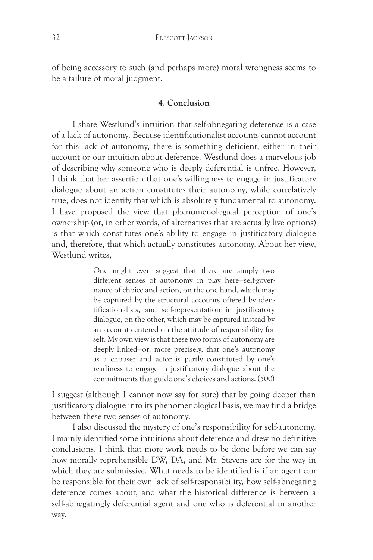of being accessory to such (and perhaps more) moral wrongness seems to be a failure of moral judgment.

### **4. Conclusion**

I share Westlund's intuition that self-abnegating deference is a case of a lack of autonomy. Because identificationalist accounts cannot account for this lack of autonomy, there is something deficient, either in their account or our intuition about deference. Westlund does a marvelous job of describing why someone who is deeply deferential is unfree. However, I think that her assertion that one's willingness to engage in justificatory dialogue about an action constitutes their autonomy, while correlatively true, does not identify that which is absolutely fundamental to autonomy. I have proposed the view that phenomenological perception of one's ownership (or, in other words, of alternatives that are actually live options) is that which constitutes one's ability to engage in justificatory dialogue and, therefore, that which actually constitutes autonomy. About her view, Westlund writes,

> One might even suggest that there are simply two different senses of autonomy in play here—self-governance of choice and action, on the one hand, which may be captured by the structural accounts offered by identificationalists, and self-representation in justificatory dialogue, on the other, which may be captured instead by an account centered on the attitude of responsibility for self. My own view is that these two forms of autonomy are deeply linked—or, more precisely, that one's autonomy as a chooser and actor is partly constituted by one's readiness to engage in justificatory dialogue about the commitments that guide one's choices and actions. (500)

I suggest (although I cannot now say for sure) that by going deeper than justificatory dialogue into its phenomenological basis, we may find a bridge between these two senses of autonomy.

I also discussed the mystery of one's responsibility for self-autonomy. I mainly identified some intuitions about deference and drew no definitive conclusions. I think that more work needs to be done before we can say how morally reprehensible DW, DA, and Mr. Stevens are for the way in which they are submissive. What needs to be identified is if an agent can be responsible for their own lack of self-responsibility, how self-abnegating deference comes about, and what the historical difference is between a self-abnegatingly deferential agent and one who is deferential in another way.